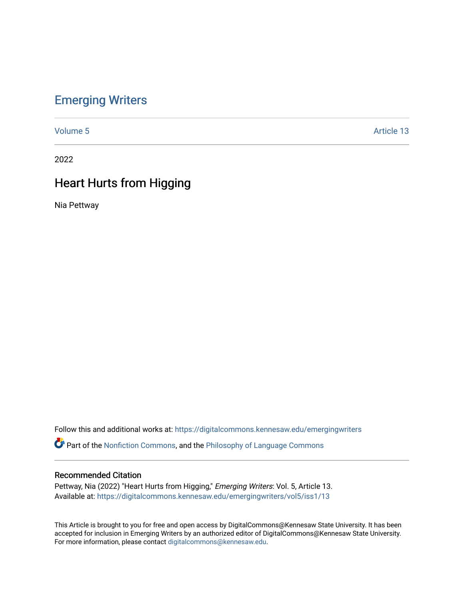## [Emerging Writers](https://digitalcommons.kennesaw.edu/emergingwriters)

[Volume 5](https://digitalcommons.kennesaw.edu/emergingwriters/vol5) Article 13

2022

# Heart Hurts from Higging

Nia Pettway

Follow this and additional works at: [https://digitalcommons.kennesaw.edu/emergingwriters](https://digitalcommons.kennesaw.edu/emergingwriters?utm_source=digitalcommons.kennesaw.edu%2Femergingwriters%2Fvol5%2Fiss1%2F13&utm_medium=PDF&utm_campaign=PDFCoverPages) 

**Part of the [Nonfiction Commons,](http://network.bepress.com/hgg/discipline/1152?utm_source=digitalcommons.kennesaw.edu%2Femergingwriters%2Fvol5%2Fiss1%2F13&utm_medium=PDF&utm_campaign=PDFCoverPages) and the Philosophy of Language Commons** 

## Recommended Citation

Pettway, Nia (2022) "Heart Hurts from Higging," Emerging Writers: Vol. 5, Article 13. Available at: [https://digitalcommons.kennesaw.edu/emergingwriters/vol5/iss1/13](https://digitalcommons.kennesaw.edu/emergingwriters/vol5/iss1/13?utm_source=digitalcommons.kennesaw.edu%2Femergingwriters%2Fvol5%2Fiss1%2F13&utm_medium=PDF&utm_campaign=PDFCoverPages)

This Article is brought to you for free and open access by DigitalCommons@Kennesaw State University. It has been accepted for inclusion in Emerging Writers by an authorized editor of DigitalCommons@Kennesaw State University. For more information, please contact [digitalcommons@kennesaw.edu.](mailto:digitalcommons@kennesaw.edu)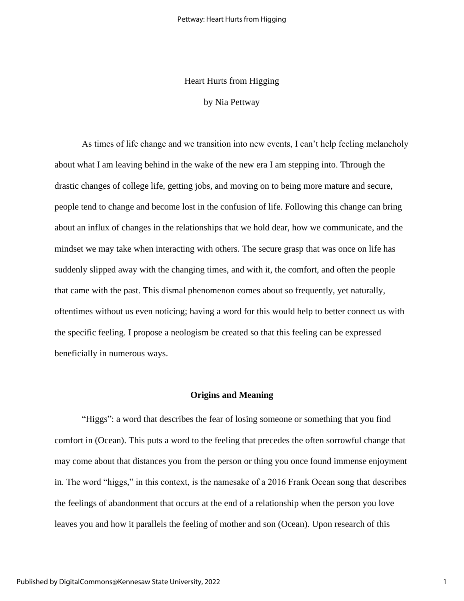## Heart Hurts from Higging

## by Nia Pettway

As times of life change and we transition into new events, I can't help feeling melancholy about what I am leaving behind in the wake of the new era I am stepping into. Through the drastic changes of college life, getting jobs, and moving on to being more mature and secure, people tend to change and become lost in the confusion of life. Following this change can bring about an influx of changes in the relationships that we hold dear, how we communicate, and the mindset we may take when interacting with others. The secure grasp that was once on life has suddenly slipped away with the changing times, and with it, the comfort, and often the people that came with the past. This dismal phenomenon comes about so frequently, yet naturally, oftentimes without us even noticing; having a word for this would help to better connect us with the specific feeling. I propose a neologism be created so that this feeling can be expressed beneficially in numerous ways.

#### **Origins and Meaning**

"Higgs": a word that describes the fear of losing someone or something that you find comfort in (Ocean). This puts a word to the feeling that precedes the often sorrowful change that may come about that distances you from the person or thing you once found immense enjoyment in. The word "higgs," in this context, is the namesake of a 2016 Frank Ocean song that describes the feelings of abandonment that occurs at the end of a relationship when the person you love leaves you and how it parallels the feeling of mother and son (Ocean). Upon research of this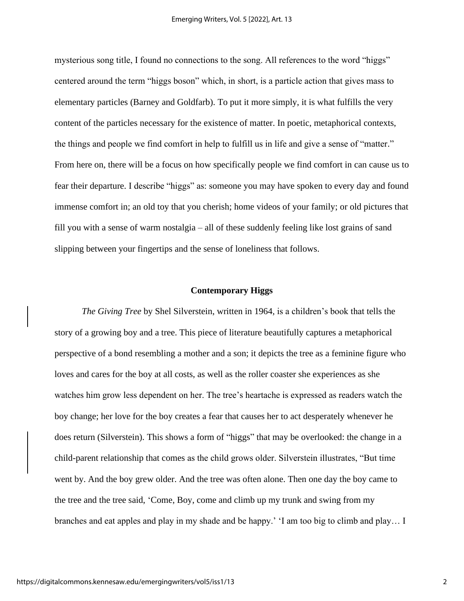mysterious song title, I found no connections to the song. All references to the word "higgs" centered around the term "higgs boson" which, in short, is a particle action that gives mass to elementary particles (Barney and Goldfarb). To put it more simply, it is what fulfills the very content of the particles necessary for the existence of matter. In poetic, metaphorical contexts, the things and people we find comfort in help to fulfill us in life and give a sense of "matter." From here on, there will be a focus on how specifically people we find comfort in can cause us to fear their departure. I describe "higgs" as: someone you may have spoken to every day and found immense comfort in; an old toy that you cherish; home videos of your family; or old pictures that fill you with a sense of warm nostalgia – all of these suddenly feeling like lost grains of sand slipping between your fingertips and the sense of loneliness that follows.

## **Contemporary Higgs**

*The Giving Tree* by Shel Silverstein, written in 1964, is a children's book that tells the story of a growing boy and a tree. This piece of literature beautifully captures a metaphorical perspective of a bond resembling a mother and a son; it depicts the tree as a feminine figure who loves and cares for the boy at all costs, as well as the roller coaster she experiences as she watches him grow less dependent on her. The tree's heartache is expressed as readers watch the boy change; her love for the boy creates a fear that causes her to act desperately whenever he does return (Silverstein). This shows a form of "higgs" that may be overlooked: the change in a child-parent relationship that comes as the child grows older. Silverstein illustrates, "But time went by. And the boy grew older. And the tree was often alone. Then one day the boy came to the tree and the tree said, 'Come, Boy, come and climb up my trunk and swing from my branches and eat apples and play in my shade and be happy.' 'I am too big to climb and play… I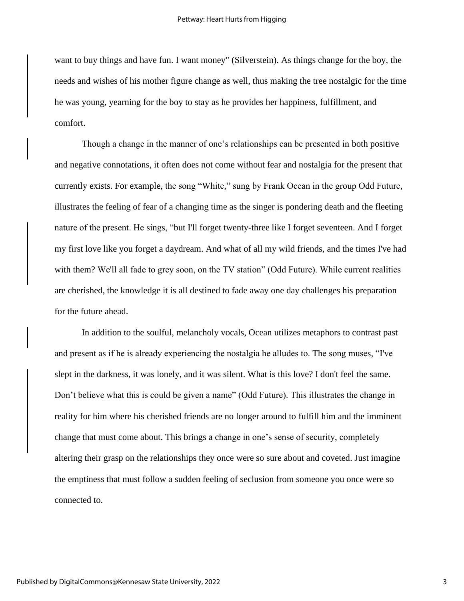want to buy things and have fun. I want money" (Silverstein). As things change for the boy, the needs and wishes of his mother figure change as well, thus making the tree nostalgic for the time he was young, yearning for the boy to stay as he provides her happiness, fulfillment, and comfort.

Though a change in the manner of one's relationships can be presented in both positive and negative connotations, it often does not come without fear and nostalgia for the present that currently exists. For example, the song "White," sung by Frank Ocean in the group Odd Future, illustrates the feeling of fear of a changing time as the singer is pondering death and the fleeting nature of the present. He sings, "but I'll forget twenty-three like I forget seventeen. And I forget my first love like you forget a daydream. And what of all my wild friends, and the times I've had with them? We'll all fade to grey soon, on the TV station" (Odd Future). While current realities are cherished, the knowledge it is all destined to fade away one day challenges his preparation for the future ahead.

In addition to the soulful, melancholy vocals, Ocean utilizes metaphors to contrast past and present as if he is already experiencing the nostalgia he alludes to. The song muses, "I've slept in the darkness, it was lonely, and it was silent. What is this love? I don't feel the same. Don't believe what this is could be given a name" (Odd Future). This illustrates the change in reality for him where his cherished friends are no longer around to fulfill him and the imminent change that must come about. This brings a change in one's sense of security, completely altering their grasp on the relationships they once were so sure about and coveted. Just imagine the emptiness that must follow a sudden feeling of seclusion from someone you once were so connected to.

3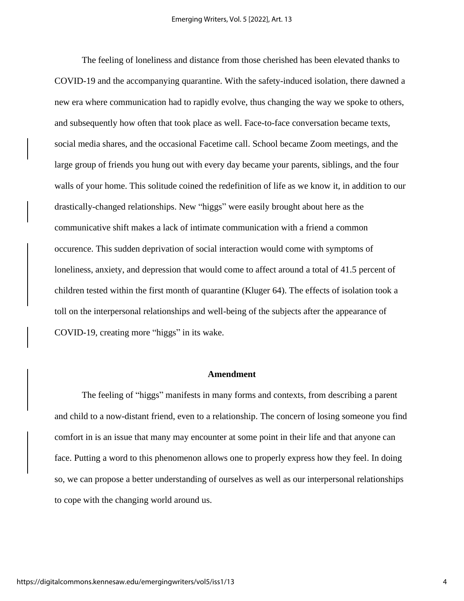The feeling of loneliness and distance from those cherished has been elevated thanks to COVID-19 and the accompanying quarantine. With the safety-induced isolation, there dawned a new era where communication had to rapidly evolve, thus changing the way we spoke to others, and subsequently how often that took place as well. Face-to-face conversation became texts, social media shares, and the occasional Facetime call. School became Zoom meetings, and the large group of friends you hung out with every day became your parents, siblings, and the four walls of your home. This solitude coined the redefinition of life as we know it, in addition to our drastically-changed relationships. New "higgs" were easily brought about here as the communicative shift makes a lack of intimate communication with a friend a common occurence. This sudden deprivation of social interaction would come with symptoms of loneliness, anxiety, and depression that would come to affect around a total of 41.5 percent of children tested within the first month of quarantine (Kluger 64). The effects of isolation took a toll on the interpersonal relationships and well-being of the subjects after the appearance of COVID-19, creating more "higgs" in its wake.

#### **Amendment**

The feeling of "higgs" manifests in many forms and contexts, from describing a parent and child to a now-distant friend, even to a relationship. The concern of losing someone you find comfort in is an issue that many may encounter at some point in their life and that anyone can face. Putting a word to this phenomenon allows one to properly express how they feel. In doing so, we can propose a better understanding of ourselves as well as our interpersonal relationships to cope with the changing world around us.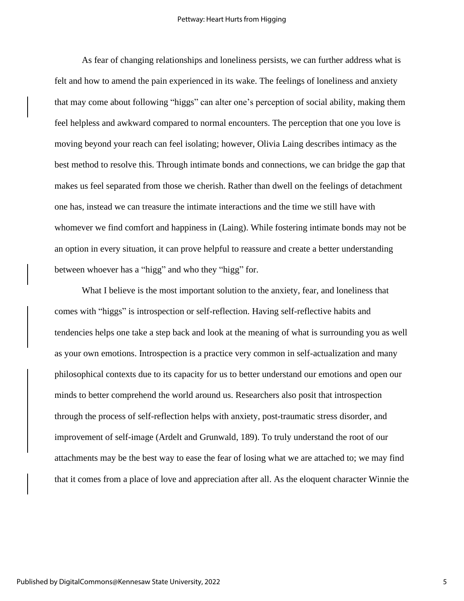As fear of changing relationships and loneliness persists, we can further address what is felt and how to amend the pain experienced in its wake. The feelings of loneliness and anxiety that may come about following "higgs" can alter one's perception of social ability, making them feel helpless and awkward compared to normal encounters. The perception that one you love is moving beyond your reach can feel isolating; however, Olivia Laing describes intimacy as the best method to resolve this. Through intimate bonds and connections, we can bridge the gap that makes us feel separated from those we cherish. Rather than dwell on the feelings of detachment one has, instead we can treasure the intimate interactions and the time we still have with whomever we find comfort and happiness in (Laing). While fostering intimate bonds may not be an option in every situation, it can prove helpful to reassure and create a better understanding between whoever has a "higg" and who they "higg" for.

What I believe is the most important solution to the anxiety, fear, and loneliness that comes with "higgs" is introspection or self-reflection. Having self-reflective habits and tendencies helps one take a step back and look at the meaning of what is surrounding you as well as your own emotions. Introspection is a practice very common in self-actualization and many philosophical contexts due to its capacity for us to better understand our emotions and open our minds to better comprehend the world around us. Researchers also posit that introspection through the process of self-reflection helps with anxiety, post-traumatic stress disorder, and improvement of self-image (Ardelt and Grunwald, 189). To truly understand the root of our attachments may be the best way to ease the fear of losing what we are attached to; we may find that it comes from a place of love and appreciation after all. As the eloquent character Winnie the

5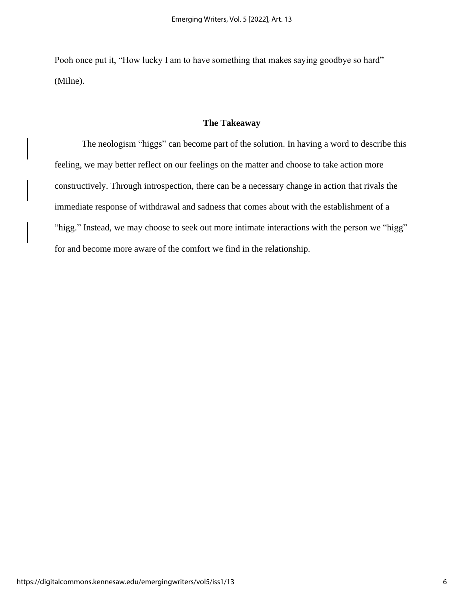Pooh once put it, "How lucky I am to have something that makes saying goodbye so hard" (Milne).

## **The Takeaway**

The neologism "higgs" can become part of the solution. In having a word to describe this feeling, we may better reflect on our feelings on the matter and choose to take action more constructively. Through introspection, there can be a necessary change in action that rivals the immediate response of withdrawal and sadness that comes about with the establishment of a "higg." Instead, we may choose to seek out more intimate interactions with the person we "higg" for and become more aware of the comfort we find in the relationship.